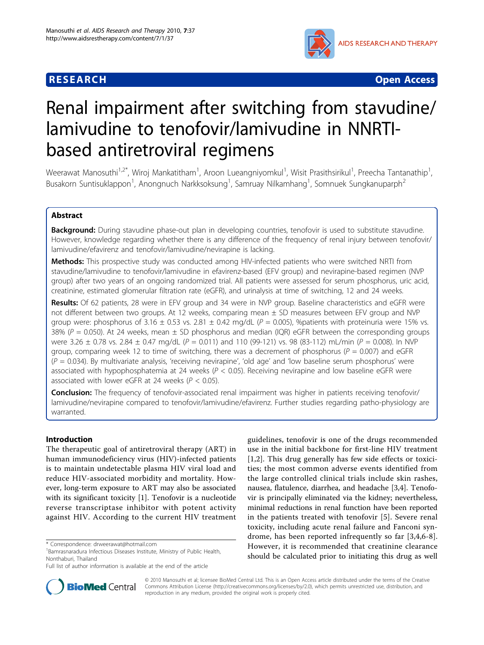# **RESEARCH CONSTRUCTION CONTROL**



# Renal impairment after switching from stavudine/ lamivudine to tenofovir/lamivudine in NNRTIbased antiretroviral regimens

Weerawat Manosuthi<sup>1,2\*</sup>, Wiroj Mankatitham<sup>1</sup>, Aroon Lueangniyomkul<sup>1</sup>, Wisit Prasithsirikul<sup>1</sup>, Preecha Tantanathip<sup>1</sup> , Busakorn Suntisuklappon<sup>1</sup>, Anongnuch Narkksoksung<sup>1</sup>, Samruay Nilkamhang<sup>1</sup>, Somnuek Sungkanuparph<sup>2</sup>

# Abstract

**Background:** During stavudine phase-out plan in developing countries, tenofovir is used to substitute stavudine. However, knowledge regarding whether there is any difference of the frequency of renal injury between tenofovir/ lamivudine/efavirenz and tenofovir/lamivudine/nevirapine is lacking.

Methods: This prospective study was conducted among HIV-infected patients who were switched NRTI from stavudine/lamivudine to tenofovir/lamivudine in efavirenz-based (EFV group) and nevirapine-based regimen (NVP group) after two years of an ongoing randomized trial. All patients were assessed for serum phosphorus, uric acid, creatinine, estimated glomerular filtration rate (eGFR), and urinalysis at time of switching, 12 and 24 weeks.

Results: Of 62 patients, 28 were in EFV group and 34 were in NVP group. Baseline characteristics and eGFR were not different between two groups. At 12 weeks, comparing mean ± SD measures between EFV group and NVP group were: phosphorus of 3.16  $\pm$  0.53 vs. 2.81  $\pm$  0.42 mg/dL ( $P = 0.005$ ), %patients with proteinuria were 15% vs. 38% ( $P = 0.050$ ). At 24 weeks, mean  $\pm$  SD phosphorus and median (IQR) eGFR between the corresponding groups were 3.26  $\pm$  0.78 vs. 2.84  $\pm$  0.47 mg/dL (P = 0.011) and 110 (99-121) vs. 98 (83-112) mL/min (P = 0.008). In NVP group, comparing week 12 to time of switching, there was a decrement of phosphorus ( $P = 0.007$ ) and eGFR  $(P = 0.034)$ . By multivariate analysis, 'receiving nevirapine', 'old age' and 'low baseline serum phosphorus' were associated with hypophosphatemia at 24 weeks ( $P < 0.05$ ). Receiving nevirapine and low baseline eGFR were associated with lower eGFR at 24 weeks ( $P < 0.05$ ).

Conclusion: The frequency of tenofovir-associated renal impairment was higher in patients receiving tenofovir/ lamivudine/nevirapine compared to tenofovir/lamivudine/efavirenz. Further studies regarding patho-physiology are warranted.

# Introduction

The therapeutic goal of antiretroviral therapy (ART) in human immunodeficiency virus (HIV)-infected patients is to maintain undetectable plasma HIV viral load and reduce HIV-associated morbidity and mortality. However, long-term exposure to ART may also be associated with its significant toxicity [\[1](#page-6-0)]. Tenofovir is a nucleotide reverse transcriptase inhibitor with potent activity against HIV. According to the current HIV treatment guidelines, tenofovir is one of the drugs recommended use in the initial backbone for first-line HIV treatment [[1,2](#page-6-0)]. This drug generally has few side effects or toxicities; the most common adverse events identified from the large controlled clinical trials include skin rashes, nausea, flatulence, diarrhea, and headache [[3,4\]](#page-6-0). Tenofovir is principally eliminated via the kidney; nevertheless, minimal reductions in renal function have been reported in the patients treated with tenofovir [[5\]](#page-6-0). Severe renal toxicity, including acute renal failure and Fanconi syndrome, has been reported infrequently so far [\[3](#page-6-0),[4,6](#page-6-0)-[8](#page-6-0)]. However, it is recommended that creatinine clearance should be calculated prior to initiating this drug as well



© 2010 Manosuthi et al; licensee BioMed Central Ltd. This is an Open Access article distributed under the terms of the Creative Commons Attribution License [\(http://creativecommons.org/licenses/by/2.0](http://creativecommons.org/licenses/by/2.0)), which permits unrestricted use, distribution, and reproduction in any medium, provided the original work is properly cited.

<sup>\*</sup> Correspondence: [drweerawat@hotmail.com](mailto:drweerawat@hotmail.com)

<sup>&</sup>lt;sup>1</sup> Bamrasnaradura Infectious Diseases Institute, Ministry of Public Health, Nonthaburi, Thailand

Full list of author information is available at the end of the article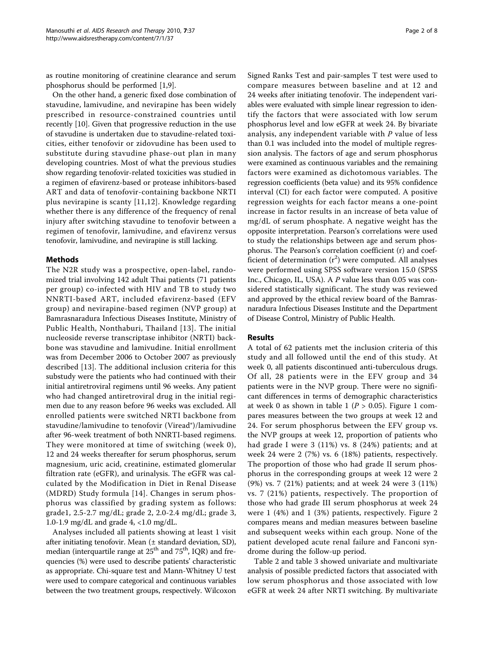as routine monitoring of creatinine clearance and serum phosphorus should be performed [[1](#page-6-0),[9](#page-6-0)].

On the other hand, a generic fixed dose combination of stavudine, lamivudine, and nevirapine has been widely prescribed in resource-constrained countries until recently [\[10](#page-6-0)]. Given that progressive reduction in the use of stavudine is undertaken due to stavudine-related toxicities, either tenofovir or zidovudine has been used to substitute during stavudine phase-out plan in many developing countries. Most of what the previous studies show regarding tenofovir-related toxicities was studied in a regimen of efavirenz-based or protease inhibitors-based ART and data of tenofovir-containing backbone NRTI plus nevirapine is scanty [[11,12](#page-6-0)]. Knowledge regarding whether there is any difference of the frequency of renal injury after switching stavudine to tenofovir between a regimen of tenofovir, lamivudine, and efavirenz versus tenofovir, lamivudine, and nevirapine is still lacking.

## Methods

The N2R study was a prospective, open-label, randomized trial involving 142 adult Thai patients (71 patients per group) co-infected with HIV and TB to study two NNRTI-based ART, included efavirenz-based (EFV group) and nevirapine-based regimen (NVP group) at Bamrasnaradura Infectious Diseases Institute, Ministry of Public Health, Nonthaburi, Thailand [[13\]](#page-6-0). The initial nucleoside reverse transcriptase inhibitor (NRTI) backbone was stavudine and lamivudine. Initial enrollment was from December 2006 to October 2007 as previously described [[13](#page-6-0)]. The additional inclusion criteria for this substudy were the patients who had continued with their initial antiretroviral regimens until 96 weeks. Any patient who had changed antiretroviral drug in the initial regimen due to any reason before 96 weeks was excluded. All enrolled patients were switched NRTI backbone from stavudine/lamivudine to tenofovir (Viread®)/lamivudine after 96-week treatment of both NNRTI-based regimens. They were monitored at time of switching (week 0), 12 and 24 weeks thereafter for serum phosphorus, serum magnesium, uric acid, creatinine, estimated glomerular filtration rate (eGFR), and urinalysis. The eGFR was calculated by the Modification in Diet in Renal Disease (MDRD) Study formula [[14](#page-6-0)]. Changes in serum phosphorus was classified by grading system as follows: grade1, 2.5-2.7 mg/dL; grade 2, 2.0-2.4 mg/dL; grade 3, 1.0-1.9 mg/dL and grade 4, <1.0 mg/dL.

Analyses included all patients showing at least 1 visit after initiating tenofovir. Mean (± standard deviation, SD), median (interquartile range at  $25<sup>th</sup>$  and  $75<sup>th</sup>$ , IQR) and frequencies (%) were used to describe patients' characteristic as appropriate. Chi-square test and Mann-Whitney U test were used to compare categorical and continuous variables between the two treatment groups, respectively. Wilcoxon Signed Ranks Test and pair-samples T test were used to compare measures between baseline and at 12 and 24 weeks after initiating tenofovir. The independent variables were evaluated with simple linear regression to identify the factors that were associated with low serum phosphorus level and low eGFR at week 24. By bivariate analysis, any independent variable with  $P$  value of less than 0.1 was included into the model of multiple regression analysis. The factors of age and serum phosphorus were examined as continuous variables and the remaining factors were examined as dichotomous variables. The regression coefficients (beta value) and its 95% confidence interval (CI) for each factor were computed. A positive regression weights for each factor means a one-point increase in factor results in an increase of beta value of mg/dL of serum phosphate. A negative weight has the opposite interpretation. Pearson's correlations were used to study the relationships between age and serum phosphorus. The Pearson's correlation coefficient (r) and coefficient of determination  $(r^2)$  were computed. All analyses were performed using SPSS software version 15.0 (SPSS Inc., Chicago, IL, USA). A P value less than 0.05 was considered statistically significant. The study was reviewed and approved by the ethical review board of the Bamrasnaradura Infectious Diseases Institute and the Department of Disease Control, Ministry of Public Health.

## Results

A total of 62 patients met the inclusion criteria of this study and all followed until the end of this study. At week 0, all patients discontinued anti-tuberculous drugs. Of all, 28 patients were in the EFV group and 34 patients were in the NVP group. There were no significant differences in terms of demographic characteristics at week 0 as shown in table [1](#page-3-0) ( $P > 0.05$ ). Figure 1 compares measures between the two groups at week 12 and 24. For serum phosphorus between the EFV group vs. the NVP groups at week 12, proportion of patients who had grade I were 3 (11%) vs. 8 (24%) patients; and at week 24 were 2 (7%) vs. 6 (18%) patients, respectively. The proportion of those who had grade II serum phosphorus in the corresponding groups at week 12 were 2 (9%) vs. 7 (21%) patients; and at week 24 were 3 (11%) vs. 7 (21%) patients, respectively. The proportion of those who had grade III serum phosphorus at week 24 were 1 (4%) and 1 (3%) patients, respectively. Figure [2](#page-4-0) compares means and median measures between baseline and subsequent weeks within each group. None of the patient developed acute renal failure and Fanconi syndrome during the follow-up period.

Table [2](#page-4-0) and table [3](#page-5-0) showed univariate and multivariate analysis of possible predicted factors that associated with low serum phosphorus and those associated with low eGFR at week 24 after NRTI switching. By multivariate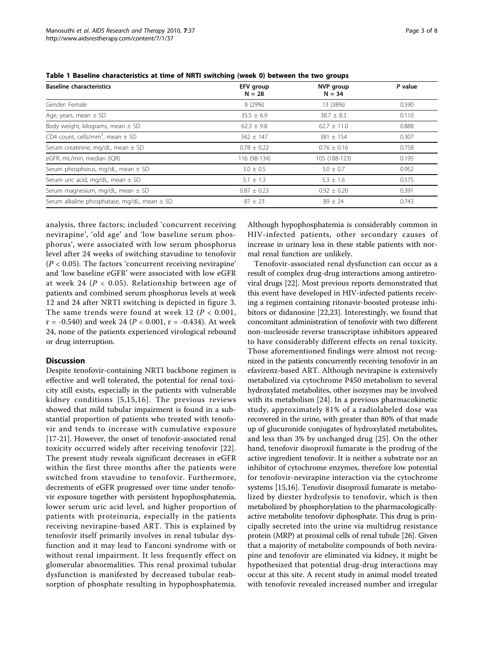| <b>Baseline characteristics</b>                  | EFV group<br>$N = 28$ | NVP group<br>$N = 34$ | P value |  |
|--------------------------------------------------|-----------------------|-----------------------|---------|--|
| Gender: Female                                   | 8 (29%)               | 13 (38%)              | 0.590   |  |
| Age, years, mean $\pm$ SD                        | $35.5 \pm 6.9$        | $38.7 \pm 8.3$        | 0.110   |  |
| Body weight, kilograms, mean $\pm$ SD            | $62.3 \pm 9.8$        | $62.7 \pm 11.0$       | 0.888   |  |
| CD4 count, cells/mm <sup>3</sup> , mean $\pm$ SD | $342 \pm 147$         | $381 \pm 154$         | 0.307   |  |
| Serum creatinine, mg/dL, mean $\pm$ SD           | $0.78 \pm 0.22$       | $0.76 \pm 0.16$       | 0.758   |  |
| eGFR, mL/min, median (IQR)                       | 116 (98-134)          | 105 (188-123)         | 0.195   |  |
| Serum phosphorus, mg/dL, mean $\pm$ SD           | $3.0 \pm 0.5$         | $3.0 \pm 0.7$         | 0.952   |  |
| Serum uric acid, mg/dL, mean ± SD                | $5.1 \pm 1.3$         | $5.3 \pm 1.6$         | 0.575   |  |
| Serum magnesium, mg/dL, mean $\pm$ SD            | $0.87 \pm 0.23$       | $0.92 \pm 0.20$       | 0.391   |  |
| Serum alkaline phosphatase, mg/dL, mean ± SD     | $87 \pm 23$           | $89 + 24$             | 0.743   |  |

<span id="page-2-0"></span>Table 1 Baseline characteristics at time of NRTI switching (week 0) between the two groups

analysis, three factors; included 'concurrent receiving nevirapine', 'old age' and 'low baseline serum phosphorus', were associated with low serum phosphorus level after 24 weeks of switching stavudine to tenofovir  $(P < 0.05)$ . The factors 'concurrent receiving nevirapine' and 'low baseline eGFR' were associated with low eGFR at week 24 ( $P < 0.05$ ). Relationship between age of patients and combined serum phosphorus levels at week 12 and 24 after NRTI switching is depicted in figure [3](#page-5-0). The same trends were found at week 12 ( $P < 0.001$ ,  $r = -0.540$ ) and week 24 ( $P < 0.001$ ,  $r = -0.434$ ). At week 24, none of the patients experienced virological rebound or drug interruption.

## **Discussion**

Despite tenofovir-containing NRTI backbone regimen is effective and well tolerated, the potential for renal toxicity still exists, especially in the patients with vulnerable kidney conditions [[5](#page-6-0),[15,16\]](#page-6-0). The previous reviews showed that mild tubular impairment is found in a substantial proportion of patients who treated with tenofovir and tends to increase with cumulative exposure [[17-21\]](#page-6-0). However, the onset of tenofovir-associated renal toxicity occurred widely after receiving tenofovir [[22\]](#page-6-0). The present study reveals significant decreases in eGFR within the first three months after the patients were switched from stavudine to tenofovir. Furthermore, decrements of eGFR progressed over time under tenofovir exposure together with persistent hypophosphatemia, lower serum uric acid level, and higher proportion of patients with proteinuria, especially in the patients receiving nevirapine-based ART. This is explained by tenofovir itself primarily involves in renal tubular dysfunction and it may lead to Fanconi syndrome with or without renal impairment. It less frequently effect on glomerular abnormalities. This renal proximal tubular dysfunction is manifested by decreased tubular reabsorption of phosphate resulting in hypophosphatemia.

Although hypophosphatemia is considerably common in HIV-infected patients, other secondary causes of increase in urinary loss in these stable patients with normal renal function are unlikely.

Tenofovir-associated renal dysfunction can occur as a result of complex drug-drug interactions among antiretroviral drugs [[22](#page-6-0)]. Most previous reports demonstrated that this event have developed in HIV-infected patients receiving a regimen containing ritonavir-boosted protease inhibitors or didanosine [[22,23\]](#page-6-0). Interestingly, we found that concomitant administration of tenofovir with two different non-nucleoside reverse transcriptase inhibitors appeared to have considerably different effects on renal toxicity. Those aforementioned findings were almost not recognized in the patients concurrently receiving tenofovir in an efavirenz-based ART. Although nevirapine is extensively metabolized via cytochrome P450 metabolism to several hydroxylated metabolites, other isozymes may be involved with its metabolism [\[24](#page-6-0)]. In a previous pharmacokinetic study, approximately 81% of a radiolabeled dose was recovered in the urine, with greater than 80% of that made up of glucuronide conjugates of hydroxylated metabolites, and less than 3% by unchanged drug [[25](#page-6-0)]. On the other hand, tenofovir disoproxil fumarate is the prodrug of the active ingredient tenofovir. It is neither a substrate nor an inhibitor of cytochrome enzymes, therefore low potential for tenofovir-nevirapine interaction via the cytochrome systems [[15,16](#page-6-0)]. Tenofovir disoproxil fumarate is metabolized by diester hydrolysis to tenofovir, which is then metabolized by phosphorylation to the pharmacologicallyactive metabolite tenofovir diphosphate. This drug is principally secreted into the urine via multidrug resistance protein (MRP) at proximal cells of renal tubule [[26](#page-6-0)]. Given that a majority of metabolite compounds of both nevirapine and tenofovir are eliminated via kidney, it might be hypothesized that potential drug-drug interactions may occur at this site. A recent study in animal model treated with tenofovir revealed increased number and irregular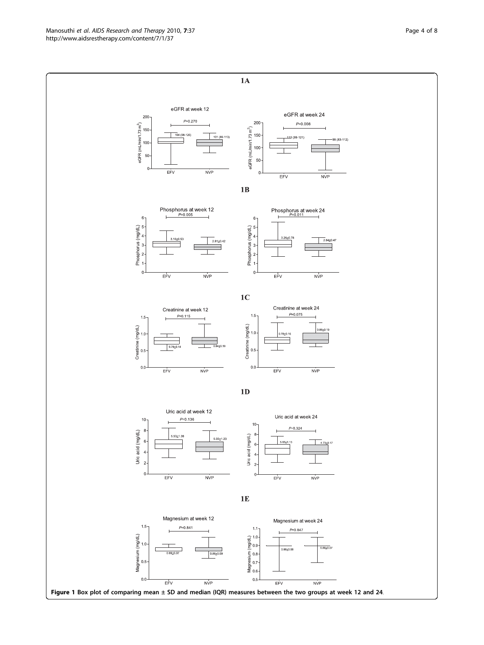<span id="page-3-0"></span>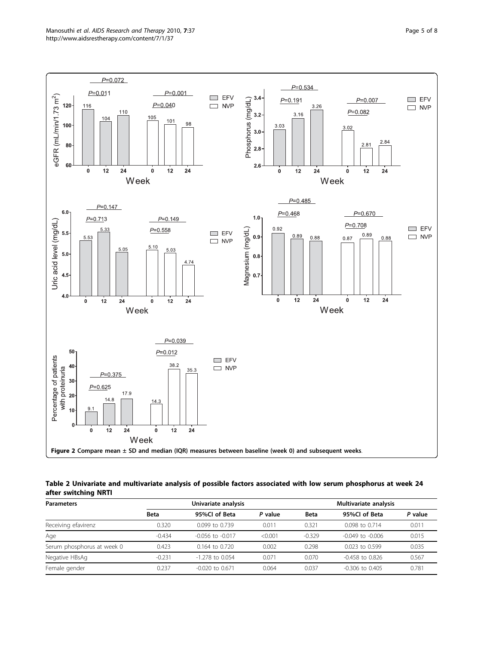

<span id="page-4-0"></span>

Table 2 Univariate and multivariate analysis of possible factors associated with low serum phosphorus at week 24 after switching NRTI

| <b>Parameters</b>          | Univariate analysis |                      |         | Multivariate analysis |                      |         |
|----------------------------|---------------------|----------------------|---------|-----------------------|----------------------|---------|
|                            | <b>Beta</b>         | 95%Cl of Beta        | P value | <b>Beta</b>           | 95%Cl of Beta        | P value |
| Receiving efavirenz        | 0.320               | $0.099$ to $0.739$   | 0.011   | 0.321                 | 0.098 to 0.714       | 0.011   |
| Age                        | $-0.434$            | $-0.056$ to $-0.017$ | < 0.001 | $-0.329$              | $-0.049$ to $-0.006$ | 0.015   |
| Serum phosphorus at week 0 | 0.423               | $0.164$ to $0.720$   | 0.002   | 0.298                 | $0.023$ to $0.599$   | 0.035   |
| Negative HBsAg             | $-0.231$            | $-1.278$ to 0.054    | 0.071   | 0.070                 | $-0.458$ to 0.826    | 0.567   |
| Female gender              | 0.237               | $-0.020$ to 0.671    | 0.064   | 0.037                 | $-0.306$ to $0.405$  | 0.781   |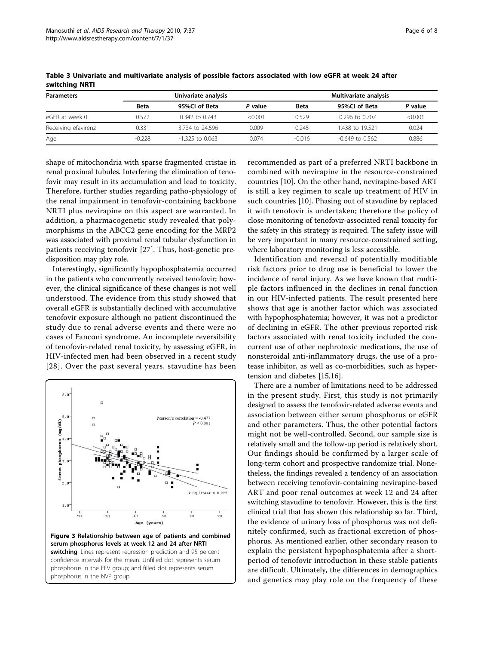| <b>Parameters</b>   |             | Univariate analysis |         |          | Multivariate analysis |         |  |  |
|---------------------|-------------|---------------------|---------|----------|-----------------------|---------|--|--|
|                     | <b>Beta</b> | 95%Cl of Beta       | P value | Beta     | 95%Cl of Beta         | P value |  |  |
| eGFR at week 0      | 0.572       | $0.342$ to $0.743$  | < 0.001 | 0.529    | $0.296$ to $0.707$    | < 0.001 |  |  |
| Receiving efavirenz | 0.331       | 3.734 to 24.596     | 0.009   | 0.245    | 1.438 to 19.521       | 0.024   |  |  |
| Age                 | $-0.228$    | $-1.325$ to 0.063   | 0.074   | $-0.016$ | $-0.649$ to $0.562$   | 0.886   |  |  |

<span id="page-5-0"></span>Table 3 Univariate and multivariate analysis of possible factors associated with low eGFR at week 24 after switching NRTI

shape of mitochondria with sparse fragmented cristae in renal proximal tubules. Interfering the elimination of tenofovir may result in its accumulation and lead to toxicity. Therefore, further studies regarding patho-physiology of the renal impairment in tenofovir-containing backbone NRTI plus nevirapine on this aspect are warranted. In addition, a pharmacogenetic study revealed that polymorphisms in the ABCC2 gene encoding for the MRP2 was associated with proximal renal tubular dysfunction in patients receiving tenofovir [[27](#page-6-0)]. Thus, host-genetic predisposition may play role.

Interestingly, significantly hypophosphatemia occurred in the patients who concurrently received tenofovir; however, the clinical significance of these changes is not well understood. The evidence from this study showed that overall eGFR is substantially declined with accumulative tenofovir exposure although no patient discontinued the study due to renal adverse events and there were no cases of Fanconi syndrome. An incomplete reversibility of tenofovir-related renal toxicity, by assessing eGFR, in HIV-infected men had been observed in a recent study [[28\]](#page-7-0). Over the past several years, stavudine has been



recommended as part of a preferred NRTI backbone in combined with nevirapine in the resource-constrained countries [\[10](#page-6-0)]. On the other hand, nevirapine-based ART is still a key regimen to scale up treatment of HIV in such countries [\[10](#page-6-0)]. Phasing out of stavudine by replaced it with tenofovir is undertaken; therefore the policy of close monitoring of tenofovir-associated renal toxicity for the safety in this strategy is required. The safety issue will be very important in many resource-constrained setting, where laboratory monitoring is less accessible.

Identification and reversal of potentially modifiable risk factors prior to drug use is beneficial to lower the incidence of renal injury. As we have known that multiple factors influenced in the declines in renal function in our HIV-infected patients. The result presented here shows that age is another factor which was associated with hypophosphatemia; however, it was not a predictor of declining in eGFR. The other previous reported risk factors associated with renal toxicity included the concurrent use of other nephrotoxic medications, the use of nonsteroidal anti-inflammatory drugs, the use of a protease inhibitor, as well as co-morbidities, such as hypertension and diabetes [\[15,16\]](#page-6-0).

There are a number of limitations need to be addressed in the present study. First, this study is not primarily designed to assess the tenofovir-related adverse events and association between either serum phosphorus or eGFR and other parameters. Thus, the other potential factors might not be well-controlled. Second, our sample size is relatively small and the follow-up period is relatively short. Our findings should be confirmed by a larger scale of long-term cohort and prospective randomize trial. Nonetheless, the findings revealed a tendency of an association between receiving tenofovir-containing nevirapine-based ART and poor renal outcomes at week 12 and 24 after switching stavudine to tenofovir. However, this is the first clinical trial that has shown this relationship so far. Third, the evidence of urinary loss of phosphorus was not definitely confirmed, such as fractional excretion of phosphorus. As mentioned earlier, other secondary reason to explain the persistent hypophosphatemia after a shortperiod of tenofovir introduction in these stable patients are difficult. Ultimately, the differences in demographics and genetics may play role on the frequency of these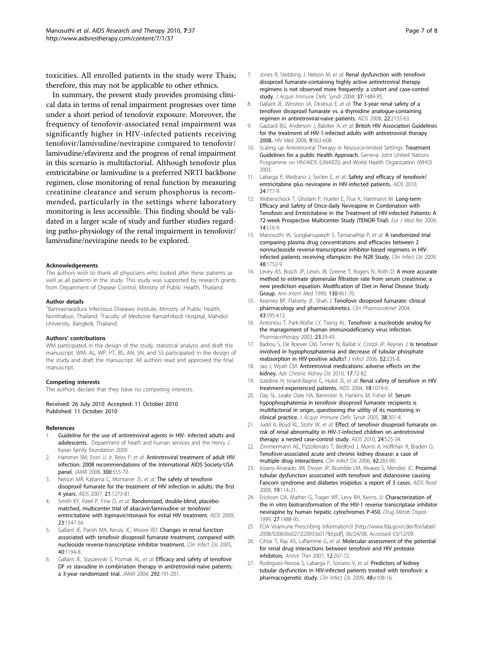<span id="page-6-0"></span>toxicities. All enrolled patients in the study were Thais; therefore, this may not be applicable to other ethnics.

In summary, the present study provides promising clinical data in terms of renal impairment progresses over time under a short period of tenofovir exposure. Moreover, the frequency of tenofovir-associated renal impairment was significantly higher in HIV-infected patients receiving tenofovir/lamivudine/nevirapine compared to tenofovir/ lamivudine/efavirenz and the progress of renal impairment in this scenario is multifactorial. Although tenofovir plus emtricitabine or lamivudine is a preferred NRTI backbone regimen, close monitoring of renal function by measuring creatinine clearance and serum phosphorus is recommended, particularly in the settings where laboratory monitoring is less accessible. This finding should be validated in a larger scale of study and further studies regarding patho-physiology of the renal impairment in tenofovir/ lamivudine/nevirapine needs to be explored.

#### Acknowledgements

The authors wish to thank all physicians who looked after these patients as well as all patients in the study. This study was supported by research grants from Department of Disease Control, Ministry of Public Health, Thailand.

#### Author details

<sup>1</sup> Bamrasnaradura Infectious Diseases Institute, Ministry of Public Health, Nonthaburi, Thailand. <sup>2</sup>Faculty of Medicine Ramathibodi Hospital, Mahidol University, Bangkok, Thailand.

#### Authors' contributions

WM participated in the design of the study, statistical analysis and draft the manuscript. WM, AL, WP, PT, BS, AN, SN, and SS participated in the design of the study and draft the manuscript. All authors read and approved the final manuscript.

#### Competing interests

The authors declare that they have no competing interests.

Received: 26 July 2010 Accepted: 11 October 2010 Published: 11 October 2010

#### References

- 1. Guideline for the use of antiretroviral agents in HIV- infected adults and adolescents. Department of heath and human services and the Henry J. Kaiser family foundation 2009.
- 2. Hammer SM, Eron JJ Jr, Reiss P, et al: [Antiretroviral treatment of adult HIV](http://www.ncbi.nlm.nih.gov/pubmed/18677028?dopt=Abstract) [infection: 2008 recommendations of the International AIDS Society-USA](http://www.ncbi.nlm.nih.gov/pubmed/18677028?dopt=Abstract) [panel.](http://www.ncbi.nlm.nih.gov/pubmed/18677028?dopt=Abstract) JAMA 2008, 300:555-70.
- Nelson MR, Katlama C, Montaner JS, et al: [The safety of tenofovir](http://www.ncbi.nlm.nih.gov/pubmed/17545703?dopt=Abstract) [disoproxil fumarate for the treatment of HIV infection in adults: the first](http://www.ncbi.nlm.nih.gov/pubmed/17545703?dopt=Abstract) [4 years.](http://www.ncbi.nlm.nih.gov/pubmed/17545703?dopt=Abstract) AIDS 2007, 21:1273-81.
- 4. Smith KY, Patel P, Fine D, et al: [Randomized, double-blind, placebo](http://www.ncbi.nlm.nih.gov/pubmed/19542866?dopt=Abstract)[matched, multicenter trial of abacavir/lamivudine or tenofovir/](http://www.ncbi.nlm.nih.gov/pubmed/19542866?dopt=Abstract) [emtricitabine with lopinavir/ritonavir for initial HIV treatment.](http://www.ncbi.nlm.nih.gov/pubmed/19542866?dopt=Abstract) AIDS 2009, 23:1547-56.
- Gallant JE, Parish MA, Keruly JC, Moore RD: [Changes in renal function](http://www.ncbi.nlm.nih.gov/pubmed/15791522?dopt=Abstract) [associated with tenofovir disoproxil fumarate treatment, compared with](http://www.ncbi.nlm.nih.gov/pubmed/15791522?dopt=Abstract) [nucleoside reverse-transcriptase inhibitor treatment.](http://www.ncbi.nlm.nih.gov/pubmed/15791522?dopt=Abstract) Clin Infect Dis 2005, 40:1194-8.
- 6. Gallant JE, Staszewski S, Pozniak AL, et al: [Efficacy and safety of tenofovir](http://www.ncbi.nlm.nih.gov/pubmed/15249568?dopt=Abstract) [DF vs stavudine in combination therapy in antiretroviral-naive patients:](http://www.ncbi.nlm.nih.gov/pubmed/15249568?dopt=Abstract) [a 3-year randomized trial.](http://www.ncbi.nlm.nih.gov/pubmed/15249568?dopt=Abstract) JAMA 2004, 292:191-201.
- 7. Jones R, Stebbing J, Nelson M, et al: [Renal dysfunction with tenofovir](http://www.ncbi.nlm.nih.gov/pubmed/15602127?dopt=Abstract) [disoproxil fumarate-containing highly active antiretroviral therapy](http://www.ncbi.nlm.nih.gov/pubmed/15602127?dopt=Abstract) [regimens is not observed more frequently: a cohort and case-control](http://www.ncbi.nlm.nih.gov/pubmed/15602127?dopt=Abstract) [study.](http://www.ncbi.nlm.nih.gov/pubmed/15602127?dopt=Abstract) J Acquir Immune Defic Syndr 2004, 37:1489-95.
- 8. Gallant JE, Winston JA, DeJesus E, et al: [The 3-year renal safety of a](http://www.ncbi.nlm.nih.gov/pubmed/18832879?dopt=Abstract) [tenofovir disoproxil fumarate vs. a thymidine analogue-containing](http://www.ncbi.nlm.nih.gov/pubmed/18832879?dopt=Abstract) [regimen in antiretroviral-naive patients.](http://www.ncbi.nlm.nih.gov/pubmed/18832879?dopt=Abstract) AIDS 2008, 22:2155-63.
- 9. Gazzard BG, Anderson J, Babiker A, et al: [British HIV Association Guidelines](http://www.ncbi.nlm.nih.gov/pubmed/18826546?dopt=Abstract) [for the treatment of HIV-1-infected adults with antiretroviral therapy](http://www.ncbi.nlm.nih.gov/pubmed/18826546?dopt=Abstract) [2008.](http://www.ncbi.nlm.nih.gov/pubmed/18826546?dopt=Abstract) HIV Med 2008, 9:563-608.
- 10. Scaling up Antiretroviral Therapy in Resource-limited Settings: Treatment Guidelines for a public Health Approach. Geneva: Joint United Nations Programme on HIV/AIDS (UNAIDS) and World Health Organization (WHO) 2003.
- 11. Labarga P, Medrano J, Seclen E, et al: [Safety and efficacy of tenofovir/](http://www.ncbi.nlm.nih.gov/pubmed/20168201?dopt=Abstract) [emtricitabine plus nevirapine in HIV-infected patients.](http://www.ncbi.nlm.nih.gov/pubmed/20168201?dopt=Abstract) AIDS 2010, 24:777-9.
- 12. Weberschock T, Gholam P, Hueter E, Flux K, Hartmann M: [Long-term](http://www.ncbi.nlm.nih.gov/pubmed/20149984?dopt=Abstract) [Efficacy and Safety of Once-daily Nevirapine in Combination with](http://www.ncbi.nlm.nih.gov/pubmed/20149984?dopt=Abstract) [Tenofovir and Emtricitabine in the Treatment of HIV-infected Patients: A](http://www.ncbi.nlm.nih.gov/pubmed/20149984?dopt=Abstract) [72-week Prospective Multicenter Study \(TENOR-Trial\).](http://www.ncbi.nlm.nih.gov/pubmed/20149984?dopt=Abstract) Eur J Med Res 2009, 14:516-9.
- 13. Manosuthi W, Sungkanuparph S, Tantanathip P, et al: [A randomized trial](http://www.ncbi.nlm.nih.gov/pubmed/19438397?dopt=Abstract) [comparing plasma drug concentrations and efficacies between 2](http://www.ncbi.nlm.nih.gov/pubmed/19438397?dopt=Abstract) [nonnucleoside reverse-transcriptase inhibitor-based regimens in HIV](http://www.ncbi.nlm.nih.gov/pubmed/19438397?dopt=Abstract)[infected patients receiving rifampicin: the N2R Study.](http://www.ncbi.nlm.nih.gov/pubmed/19438397?dopt=Abstract) Clin Infect Dis 2009, 48:1752-9.
- 14. Levey AS, Bosch JP, Lewis JB, Greene T, Rogers N, Roth D: [A more accurate](http://www.ncbi.nlm.nih.gov/pubmed/10075613?dopt=Abstract) [method to estimate glomerular filtration rate from serum creatinine: a](http://www.ncbi.nlm.nih.gov/pubmed/10075613?dopt=Abstract) [new prediction equation. Modification of Diet in Renal Disease Study](http://www.ncbi.nlm.nih.gov/pubmed/10075613?dopt=Abstract) [Group.](http://www.ncbi.nlm.nih.gov/pubmed/10075613?dopt=Abstract) Ann Intern Med 1999, 130:461-70.
- 15. Kearney BP, Flaherty JF, Shah J: [Tenofovir disoproxil fumarate: clinical](http://www.ncbi.nlm.nih.gov/pubmed/15217303?dopt=Abstract) [pharmacology and pharmacokinetics.](http://www.ncbi.nlm.nih.gov/pubmed/15217303?dopt=Abstract) Clin Pharmacokinet 2004, 43:595-612.
- 16. Antoniou T, Park-Wyllie LY, Tseng AL: [Tenofovir: a nucleotide analog for](http://www.ncbi.nlm.nih.gov/pubmed/12523458?dopt=Abstract) [the management of human immunodeficiency virus infection.](http://www.ncbi.nlm.nih.gov/pubmed/12523458?dopt=Abstract) Pharmacotherapy 2003, 23:29-43.
- 17. Badiou S, De Boever CM, Terrier N, Baillat V, Cristol JP, Reynes J: [Is tenofovir](http://www.ncbi.nlm.nih.gov/pubmed/16176835?dopt=Abstract) [involved in hypophosphatemia and decrease of tubular phosphate](http://www.ncbi.nlm.nih.gov/pubmed/16176835?dopt=Abstract) [reabsorption in HIV-positive adults?](http://www.ncbi.nlm.nih.gov/pubmed/16176835?dopt=Abstract) J Infect 2006, 52:335-8.
- 18. Jao J, Wyatt CM: [Antiretroviral medications: adverse effects on the](http://www.ncbi.nlm.nih.gov/pubmed/20005491?dopt=Abstract) [kidney.](http://www.ncbi.nlm.nih.gov/pubmed/20005491?dopt=Abstract) Adv Chronic Kidney Dis 2010, 17:72-82.
- 19. Izzedine H, Isnard-Bagnis C, Hulot JS, et al: [Renal safety of tenofovir in HIV](http://www.ncbi.nlm.nih.gov/pubmed/15096814?dopt=Abstract) [treatment-experienced patients.](http://www.ncbi.nlm.nih.gov/pubmed/15096814?dopt=Abstract) AIDS 2004, 18:1074-6.
- 20. Day SL, Leake Date HA, Bannister A, Hankins M, Fisher M: [Serum](http://www.ncbi.nlm.nih.gov/pubmed/15735448?dopt=Abstract) [hypophosphatemia in tenofovir disoproxil fumarate recipients is](http://www.ncbi.nlm.nih.gov/pubmed/15735448?dopt=Abstract) [multifactorial in origin, questioning the utility of its monitoring in](http://www.ncbi.nlm.nih.gov/pubmed/15735448?dopt=Abstract) [clinical practice.](http://www.ncbi.nlm.nih.gov/pubmed/15735448?dopt=Abstract) J Acquir Immune Defic Syndr 2005, 38:301-4.
- 21. Judd A, Boyd KL, Stohr W, et al: [Effect of tenofovir disoproxil fumarate on](http://www.ncbi.nlm.nih.gov/pubmed/20139752?dopt=Abstract) [risk of renal abnormality in HIV-1-infected children on antiretroviral](http://www.ncbi.nlm.nih.gov/pubmed/20139752?dopt=Abstract) [therapy: a nested case-control study.](http://www.ncbi.nlm.nih.gov/pubmed/20139752?dopt=Abstract) AIDS 2010, 24:525-34.
- 22. Zimmermann AE, Pizzoferrato T, Bedford J, Morris A, Hoffman R, Braden G: [Tenofovir-associated acute and chronic kidney disease: a case of](http://www.ncbi.nlm.nih.gov/pubmed/16355343?dopt=Abstract) [multiple drug interactions.](http://www.ncbi.nlm.nih.gov/pubmed/16355343?dopt=Abstract) Clin Infect Dis 2006, 42:283-90.
- 23. Irizarry-Alvarado JM, Dwyer JP, Brumble LM, Alvarez S, Mendez JC: [Proximal](http://www.ncbi.nlm.nih.gov/pubmed/19334328?dopt=Abstract) [tubular dysfunction associated with tenofovir and didanosine causing](http://www.ncbi.nlm.nih.gov/pubmed/19334328?dopt=Abstract) [Fanconi syndrome and diabetes insipidus: a report of 3 cases.](http://www.ncbi.nlm.nih.gov/pubmed/19334328?dopt=Abstract) AIDS Read 2009, 19:114-21.
- 24. Erickson DA, Mather G, Trager WF, Levy RH, Keirns JJ: [Characterization of](http://www.ncbi.nlm.nih.gov/pubmed/10570031?dopt=Abstract) [the in vitro biotransformation of the HIV-1 reverse transcriptase inhibitor](http://www.ncbi.nlm.nih.gov/pubmed/10570031?dopt=Abstract) [nevirapine by human hepatic cytochromes P-450.](http://www.ncbi.nlm.nih.gov/pubmed/10570031?dopt=Abstract) Drug Metab Dispos 1999, 27:1488-95.
- 25. FDA Viramune Prescribing Information:9 [[http://www.fda.gov/cder/foi/label/](http://www.fda.gov/cder/foi/label/2008/020636s027,020933s017lbl.pdf) [2008/020636s027,020933s017lbl.pdf\]](http://www.fda.gov/cder/foi/label/2008/020636s027,020933s017lbl.pdf), 06/24/08, Accessed 03/12/09.
- 26. Cihlar T, Ray AS, Laflamme G, et al: [Molecular assessment of the potential](http://www.ncbi.nlm.nih.gov/pubmed/17503669?dopt=Abstract) [for renal drug interactions between tenofovir and HIV protease](http://www.ncbi.nlm.nih.gov/pubmed/17503669?dopt=Abstract) [inhibitors.](http://www.ncbi.nlm.nih.gov/pubmed/17503669?dopt=Abstract) Antivir Ther 2007, 12:267-72.
- Rodriguez-Novoa S, Labarga P, Soriano V, et al: [Predictors of kidney](http://www.ncbi.nlm.nih.gov/pubmed/19400747?dopt=Abstract) [tubular dysfunction in HIV-infected patients treated with tenofovir: a](http://www.ncbi.nlm.nih.gov/pubmed/19400747?dopt=Abstract) [pharmacogenetic study.](http://www.ncbi.nlm.nih.gov/pubmed/19400747?dopt=Abstract) Clin Infect Dis 2009, 48:e108-16.